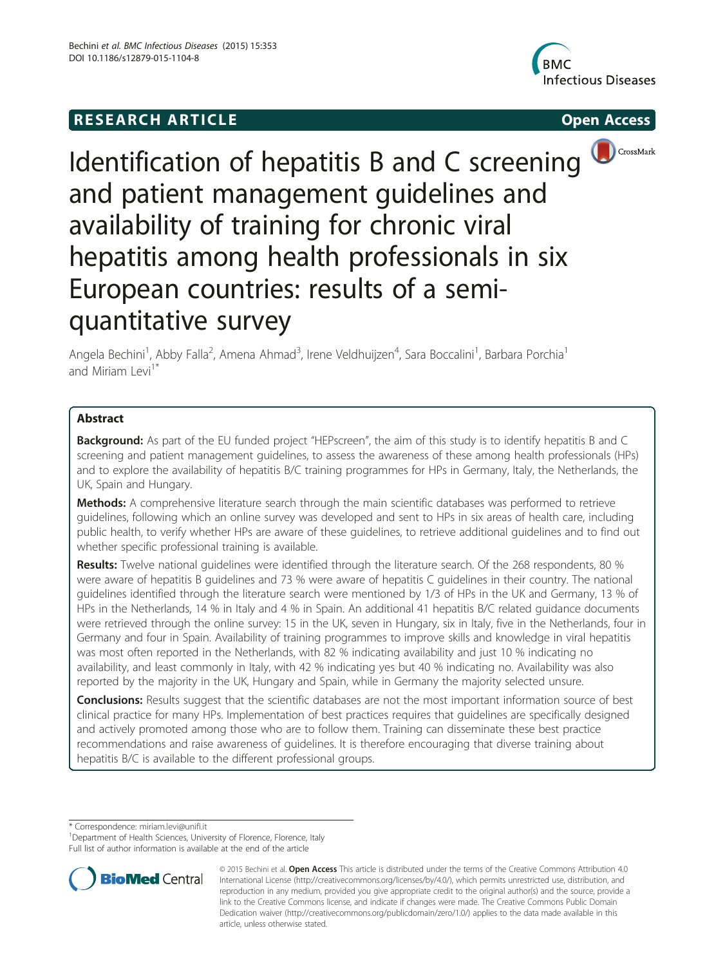## **RESEARCH ARTICLE Example 2018 12:00 Open Access**







# Identification of hepatitis B and C screening and patient management guidelines and availability of training for chronic viral hepatitis among health professionals in six European countries: results of a semiquantitative survey

Angela Bechini<sup>1</sup>, Abby Falla<sup>2</sup>, Amena Ahmad<sup>3</sup>, Irene Veldhuijzen<sup>4</sup>, Sara Boccalini<sup>1</sup>, Barbara Porchia<sup>1</sup> and Miriam Levi<sup>1\*</sup>

## Abstract

**Background:** As part of the EU funded project "HEPscreen", the aim of this study is to identify hepatitis B and C screening and patient management guidelines, to assess the awareness of these among health professionals (HPs) and to explore the availability of hepatitis B/C training programmes for HPs in Germany, Italy, the Netherlands, the UK, Spain and Hungary.

Methods: A comprehensive literature search through the main scientific databases was performed to retrieve guidelines, following which an online survey was developed and sent to HPs in six areas of health care, including public health, to verify whether HPs are aware of these guidelines, to retrieve additional guidelines and to find out whether specific professional training is available.

Results: Twelve national guidelines were identified through the literature search. Of the 268 respondents, 80 % were aware of hepatitis B guidelines and 73 % were aware of hepatitis C guidelines in their country. The national guidelines identified through the literature search were mentioned by 1/3 of HPs in the UK and Germany, 13 % of HPs in the Netherlands, 14 % in Italy and 4 % in Spain. An additional 41 hepatitis B/C related guidance documents were retrieved through the online survey: 15 in the UK, seven in Hungary, six in Italy, five in the Netherlands, four in Germany and four in Spain. Availability of training programmes to improve skills and knowledge in viral hepatitis was most often reported in the Netherlands, with 82 % indicating availability and just 10 % indicating no availability, and least commonly in Italy, with 42 % indicating yes but 40 % indicating no. Availability was also reported by the majority in the UK, Hungary and Spain, while in Germany the majority selected unsure.

**Conclusions:** Results suggest that the scientific databases are not the most important information source of best clinical practice for many HPs. Implementation of best practices requires that guidelines are specifically designed and actively promoted among those who are to follow them. Training can disseminate these best practice recommendations and raise awareness of guidelines. It is therefore encouraging that diverse training about hepatitis B/C is available to the different professional groups.

\* Correspondence: [miriam.levi@unifi.it](mailto:miriam.levi@unifi.it) <sup>1</sup>

<sup>1</sup> Department of Health Sciences, University of Florence, Florence, Italy

Full list of author information is available at the end of the article



<sup>© 2015</sup> Bechini et al. Open Access This article is distributed under the terms of the Creative Commons Attribution 4.0 International License [\(http://creativecommons.org/licenses/by/4.0/\)](http://creativecommons.org/licenses/by/4.0/), which permits unrestricted use, distribution, and reproduction in any medium, provided you give appropriate credit to the original author(s) and the source, provide a link to the Creative Commons license, and indicate if changes were made. The Creative Commons Public Domain Dedication waiver ([http://creativecommons.org/publicdomain/zero/1.0/\)](http://creativecommons.org/publicdomain/zero/1.0/) applies to the data made available in this article, unless otherwise stated.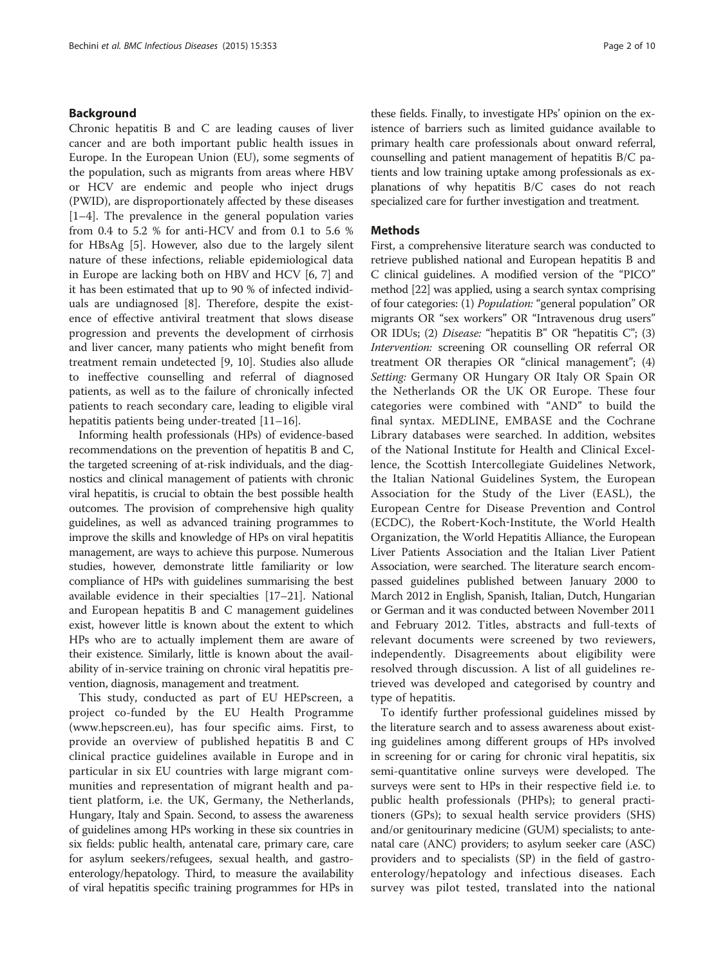#### Background

Chronic hepatitis B and C are leading causes of liver cancer and are both important public health issues in Europe. In the European Union (EU), some segments of the population, such as migrants from areas where HBV or HCV are endemic and people who inject drugs (PWID), are disproportionately affected by these diseases [[1](#page-8-0)–[4\]](#page-8-0). The prevalence in the general population varies from 0.4 to 5.2 % for anti-HCV and from 0.1 to 5.6 % for HBsAg [[5](#page-8-0)]. However, also due to the largely silent nature of these infections, reliable epidemiological data in Europe are lacking both on HBV and HCV [[6, 7\]](#page-8-0) and it has been estimated that up to 90 % of infected individuals are undiagnosed [[8\]](#page-8-0). Therefore, despite the existence of effective antiviral treatment that slows disease progression and prevents the development of cirrhosis and liver cancer, many patients who might benefit from treatment remain undetected [\[9](#page-8-0), [10\]](#page-8-0). Studies also allude to ineffective counselling and referral of diagnosed patients, as well as to the failure of chronically infected patients to reach secondary care, leading to eligible viral hepatitis patients being under-treated [\[11](#page-8-0)–[16\]](#page-8-0).

Informing health professionals (HPs) of evidence-based recommendations on the prevention of hepatitis B and C, the targeted screening of at-risk individuals, and the diagnostics and clinical management of patients with chronic viral hepatitis, is crucial to obtain the best possible health outcomes. The provision of comprehensive high quality guidelines, as well as advanced training programmes to improve the skills and knowledge of HPs on viral hepatitis management, are ways to achieve this purpose. Numerous studies, however, demonstrate little familiarity or low compliance of HPs with guidelines summarising the best available evidence in their specialties [[17](#page-8-0)–[21\]](#page-8-0). National and European hepatitis B and C management guidelines exist, however little is known about the extent to which HPs who are to actually implement them are aware of their existence. Similarly, little is known about the availability of in-service training on chronic viral hepatitis prevention, diagnosis, management and treatment.

This study, conducted as part of EU HEPscreen, a project co-funded by the EU Health Programme ([www.hepscreen.eu](http://www.hepscreen.eu/)), has four specific aims. First, to provide an overview of published hepatitis B and C clinical practice guidelines available in Europe and in particular in six EU countries with large migrant communities and representation of migrant health and patient platform, i.e. the UK, Germany, the Netherlands, Hungary, Italy and Spain. Second, to assess the awareness of guidelines among HPs working in these six countries in six fields: public health, antenatal care, primary care, care for asylum seekers/refugees, sexual health, and gastroenterology/hepatology. Third, to measure the availability of viral hepatitis specific training programmes for HPs in these fields. Finally, to investigate HPs' opinion on the existence of barriers such as limited guidance available to primary health care professionals about onward referral, counselling and patient management of hepatitis B/C patients and low training uptake among professionals as explanations of why hepatitis B/C cases do not reach specialized care for further investigation and treatment.

#### **Methods**

First, a comprehensive literature search was conducted to retrieve published national and European hepatitis B and C clinical guidelines. A modified version of the "PICO" method [\[22\]](#page-8-0) was applied, using a search syntax comprising of four categories: (1) Population: "general population" OR migrants OR "sex workers" OR "Intravenous drug users" OR IDUs; (2) Disease: "hepatitis B" OR "hepatitis C"; (3) Intervention: screening OR counselling OR referral OR treatment OR therapies OR "clinical management"; (4) Setting: Germany OR Hungary OR Italy OR Spain OR the Netherlands OR the UK OR Europe. These four categories were combined with "AND" to build the final syntax. MEDLINE, EMBASE and the Cochrane Library databases were searched. In addition, websites of the National Institute for Health and Clinical Excellence, the Scottish Intercollegiate Guidelines Network, the Italian National Guidelines System, the European Association for the Study of the Liver (EASL), the European Centre for Disease Prevention and Control (ECDC), the Robert‐Koch‐Institute, the World Health Organization, the World Hepatitis Alliance, the European Liver Patients Association and the Italian Liver Patient Association, were searched. The literature search encompassed guidelines published between January 2000 to March 2012 in English, Spanish, Italian, Dutch, Hungarian or German and it was conducted between November 2011 and February 2012. Titles, abstracts and full-texts of relevant documents were screened by two reviewers, independently. Disagreements about eligibility were resolved through discussion. A list of all guidelines retrieved was developed and categorised by country and type of hepatitis.

To identify further professional guidelines missed by the literature search and to assess awareness about existing guidelines among different groups of HPs involved in screening for or caring for chronic viral hepatitis, six semi-quantitative online surveys were developed. The surveys were sent to HPs in their respective field i.e. to public health professionals (PHPs); to general practitioners (GPs); to sexual health service providers (SHS) and/or genitourinary medicine (GUM) specialists; to antenatal care (ANC) providers; to asylum seeker care (ASC) providers and to specialists (SP) in the field of gastroenterology/hepatology and infectious diseases. Each survey was pilot tested, translated into the national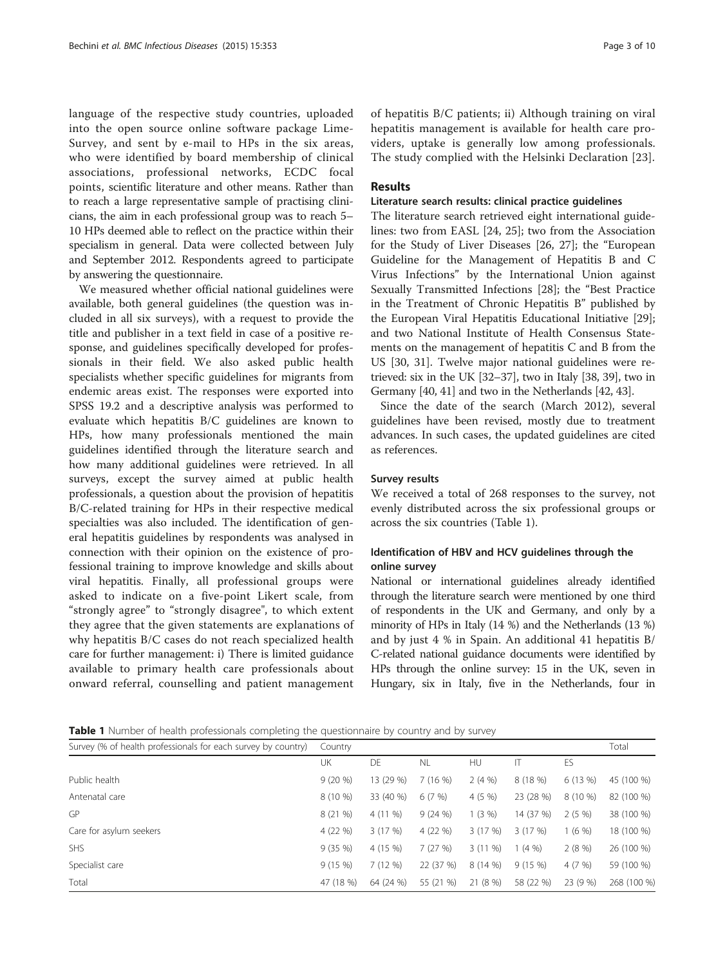language of the respective study countries, uploaded into the open source online software package Lime-Survey, and sent by e-mail to HPs in the six areas, who were identified by board membership of clinical associations, professional networks, ECDC focal points, scientific literature and other means. Rather than to reach a large representative sample of practising clinicians, the aim in each professional group was to reach 5– 10 HPs deemed able to reflect on the practice within their specialism in general. Data were collected between July and September 2012. Respondents agreed to participate by answering the questionnaire.

We measured whether official national guidelines were available, both general guidelines (the question was included in all six surveys), with a request to provide the title and publisher in a text field in case of a positive response, and guidelines specifically developed for professionals in their field. We also asked public health specialists whether specific guidelines for migrants from endemic areas exist. The responses were exported into SPSS 19.2 and a descriptive analysis was performed to evaluate which hepatitis B/C guidelines are known to HPs, how many professionals mentioned the main guidelines identified through the literature search and how many additional guidelines were retrieved. In all surveys, except the survey aimed at public health professionals, a question about the provision of hepatitis B/C-related training for HPs in their respective medical specialties was also included. The identification of general hepatitis guidelines by respondents was analysed in connection with their opinion on the existence of professional training to improve knowledge and skills about viral hepatitis. Finally, all professional groups were asked to indicate on a five-point Likert scale, from "strongly agree" to "strongly disagree", to which extent they agree that the given statements are explanations of why hepatitis B/C cases do not reach specialized health care for further management: i) There is limited guidance available to primary health care professionals about onward referral, counselling and patient management

of hepatitis B/C patients; ii) Although training on viral hepatitis management is available for health care providers, uptake is generally low among professionals. The study complied with the Helsinki Declaration [\[23\]](#page-8-0).

## Results

#### Literature search results: clinical practice guidelines

The literature search retrieved eight international guidelines: two from EASL [\[24, 25](#page-8-0)]; two from the Association for the Study of Liver Diseases [\[26](#page-8-0), [27](#page-8-0)]; the "European Guideline for the Management of Hepatitis B and C Virus Infections" by the International Union against Sexually Transmitted Infections [[28\]](#page-8-0); the "Best Practice in the Treatment of Chronic Hepatitis B" published by the European Viral Hepatitis Educational Initiative [\[29](#page-8-0)]; and two National Institute of Health Consensus Statements on the management of hepatitis C and B from the US [\[30](#page-8-0), [31](#page-8-0)]. Twelve major national guidelines were retrieved: six in the UK [\[32](#page-8-0)–[37](#page-8-0)], two in Italy [[38](#page-8-0), [39](#page-9-0)], two in Germany [\[40](#page-9-0), [41](#page-9-0)] and two in the Netherlands [\[42, 43\]](#page-9-0).

Since the date of the search (March 2012), several guidelines have been revised, mostly due to treatment advances. In such cases, the updated guidelines are cited as references.

#### Survey results

We received a total of 268 responses to the survey, not evenly distributed across the six professional groups or across the six countries (Table 1).

## Identification of HBV and HCV guidelines through the online survey

National or international guidelines already identified through the literature search were mentioned by one third of respondents in the UK and Germany, and only by a minority of HPs in Italy (14 %) and the Netherlands (13 %) and by just 4 % in Spain. An additional 41 hepatitis B/ C-related national guidance documents were identified by HPs through the online survey: 15 in the UK, seven in Hungary, six in Italy, five in the Netherlands, four in

| <b>Table 1</b> Number of health professionals completing the questionnaire by country and by survey |  |
|-----------------------------------------------------------------------------------------------------|--|
|-----------------------------------------------------------------------------------------------------|--|

| Survey (% of health professionals for each survey by country) | Country   |           |           |            |           |          | Total       |
|---------------------------------------------------------------|-----------|-----------|-----------|------------|-----------|----------|-------------|
|                                                               | UK        | DE        | <b>NL</b> | HU         |           | ES       |             |
| Public health                                                 | $9(20\%)$ | 13 (29 %) | 7(16%)    | 2(4%       | 8 (18 %)  | 6(13%)   | 45 (100 %)  |
| Antenatal care                                                | 8 (10 %)  | 33 (40 %) | 6(7%)     | 4 $(5 \%)$ | 23 (28 %) | 8 (10 %) | 82 (100 %)  |
| GP                                                            | 8 (21 %)  | $4(11\%)$ | 9(24%)    | 1(3%)      | 14 (37 %) | 2(5%     | 38 (100 %)  |
| Care for asylum seekers                                       | 4 (22 %)  | 3(17%)    | 4(22%)    | 3(17%)     | 3(17%)    | 1(6%     | 18 (100 %)  |
| <b>SHS</b>                                                    | 9(35%)    | 4 (15 %)  | 7(27%)    | $3(11\%)$  | 1(4%      | 2(8%)    | 26 (100 %)  |
| Specialist care                                               | 9(15%)    | 7(12%)    | 22 (37 %) | 8(14%      | 9(15%)    | 4(7%)    | 59 (100 %)  |
| Total                                                         | 47 (18 %) | 64 (24 %) | 55 (21 %) | 21 (8 %)   | 58 (22 %) | 23 (9 %) | 268 (100 %) |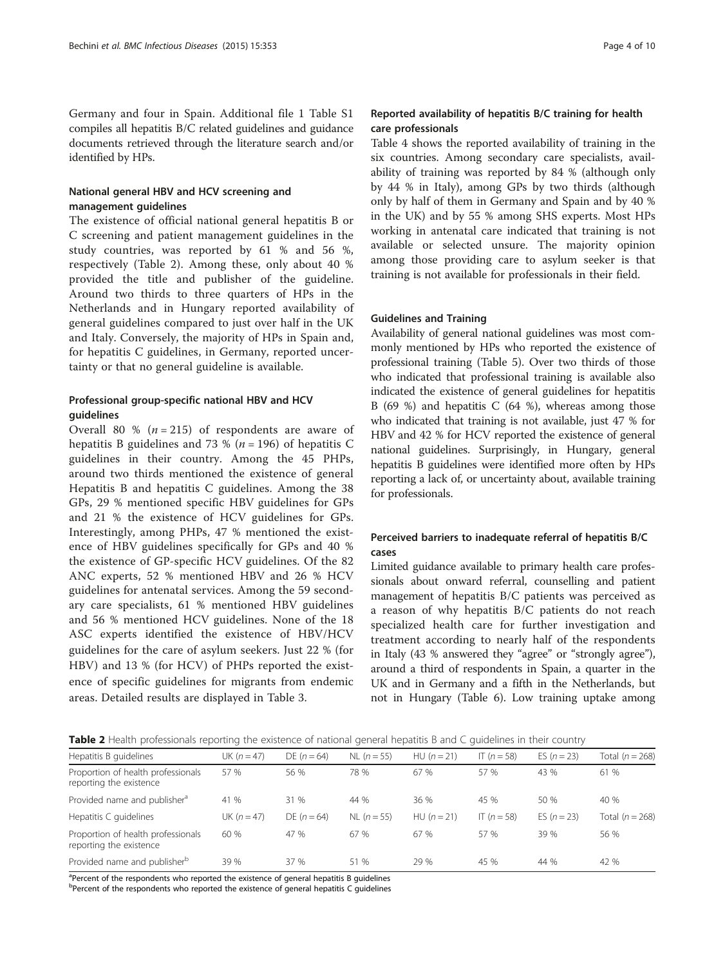Germany and four in Spain. Additional file [1](#page-7-0) Table S1 compiles all hepatitis B/C related guidelines and guidance documents retrieved through the literature search and/or identified by HPs.

## National general HBV and HCV screening and management guidelines

The existence of official national general hepatitis B or C screening and patient management guidelines in the study countries, was reported by 61 % and 56 %, respectively (Table 2). Among these, only about 40 % provided the title and publisher of the guideline. Around two thirds to three quarters of HPs in the Netherlands and in Hungary reported availability of general guidelines compared to just over half in the UK and Italy. Conversely, the majority of HPs in Spain and, for hepatitis C guidelines, in Germany, reported uncertainty or that no general guideline is available.

## Professional group-specific national HBV and HCV guidelines

Overall 80 % ( $n = 215$ ) of respondents are aware of hepatitis B guidelines and 73 % ( $n = 196$ ) of hepatitis C guidelines in their country. Among the 45 PHPs, around two thirds mentioned the existence of general Hepatitis B and hepatitis C guidelines. Among the 38 GPs, 29 % mentioned specific HBV guidelines for GPs and 21 % the existence of HCV guidelines for GPs. Interestingly, among PHPs, 47 % mentioned the existence of HBV guidelines specifically for GPs and 40 % the existence of GP-specific HCV guidelines. Of the 82 ANC experts, 52 % mentioned HBV and 26 % HCV guidelines for antenatal services. Among the 59 secondary care specialists, 61 % mentioned HBV guidelines and 56 % mentioned HCV guidelines. None of the 18 ASC experts identified the existence of HBV/HCV guidelines for the care of asylum seekers. Just 22 % (for HBV) and 13 % (for HCV) of PHPs reported the existence of specific guidelines for migrants from endemic areas. Detailed results are displayed in Table [3](#page-4-0).

## Reported availability of hepatitis B/C training for health care professionals

Table [4](#page-5-0) shows the reported availability of training in the six countries. Among secondary care specialists, availability of training was reported by 84 % (although only by 44 % in Italy), among GPs by two thirds (although only by half of them in Germany and Spain and by 40 % in the UK) and by 55 % among SHS experts. Most HPs working in antenatal care indicated that training is not available or selected unsure. The majority opinion among those providing care to asylum seeker is that training is not available for professionals in their field.

#### Guidelines and Training

Availability of general national guidelines was most commonly mentioned by HPs who reported the existence of professional training (Table [5\)](#page-5-0). Over two thirds of those who indicated that professional training is available also indicated the existence of general guidelines for hepatitis B (69 %) and hepatitis C (64 %), whereas among those who indicated that training is not available, just 47 % for HBV and 42 % for HCV reported the existence of general national guidelines. Surprisingly, in Hungary, general hepatitis B guidelines were identified more often by HPs reporting a lack of, or uncertainty about, available training for professionals.

## Perceived barriers to inadequate referral of hepatitis B/C cases

Limited guidance available to primary health care professionals about onward referral, counselling and patient management of hepatitis B/C patients was perceived as a reason of why hepatitis B/C patients do not reach specialized health care for further investigation and treatment according to nearly half of the respondents in Italy (43 % answered they "agree" or "strongly agree"), around a third of respondents in Spain, a quarter in the UK and in Germany and a fifth in the Netherlands, but not in Hungary (Table [6\)](#page-6-0). Low training uptake among

| Hepatitis B quidelines                                        | UK $(n = 47)$ | $DE (n = 64)$ | NL $(n = 55)$ | $HU (n = 21)$ | IT $(n = 58)$ | ES $(n = 23)$ | Total $(n = 268)$ |
|---------------------------------------------------------------|---------------|---------------|---------------|---------------|---------------|---------------|-------------------|
| Proportion of health professionals<br>reporting the existence | 57 %          | 56 %          | 78 %          | 67 %          | 57 %          | 43 %          | 61 %              |
| Provided name and publisher <sup>a</sup>                      | 41 %          | 31 %          | 44 %          | 36 %          | 45 %          | 50 %          | 40 %              |
| Hepatitis C quidelines                                        | UK $(n = 47)$ | DE $(n = 64)$ | NL $(n = 55)$ | $HU (n = 21)$ | IT $(n = 58)$ | ES $(n = 23)$ | Total $(n = 268)$ |
| Proportion of health professionals<br>reporting the existence | 60 %          | 47 %          | 67 %          | 67 %          | 57 %          | 39 %          | 56 %              |
| Provided name and publisher <sup>b</sup>                      | 39 %          | 37 %          | 51 %          | 29 %          | 45 %          | 44 %          | 42 %              |

<sup>a</sup>Percent of the respondents who reported the existence of general hepatitis B guidelines

<sup>b</sup>Percent of the respondents who reported the existence of general hepatitis C guidelines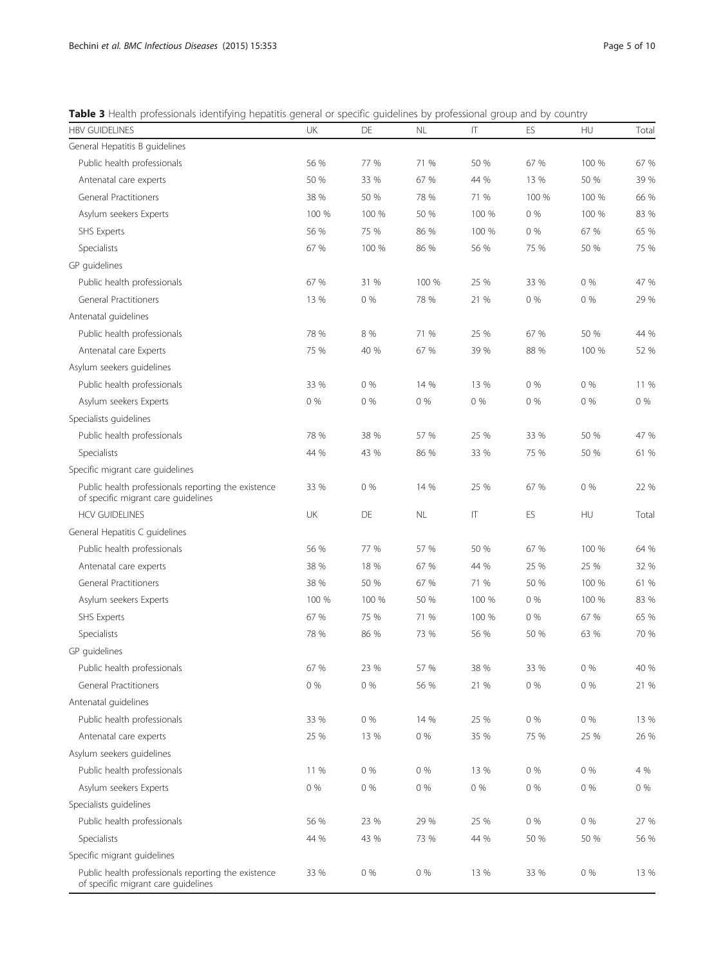<span id="page-4-0"></span>Table 3 Health professionals identifying hepatitis general or specific guidelines by professional group and by country

| <b>HBV GUIDELINES</b>                                                                      | UK    | DE    | <b>NL</b> | $\mathsf{I}\mathsf{T}$     | ES    | HU    | Total |
|--------------------------------------------------------------------------------------------|-------|-------|-----------|----------------------------|-------|-------|-------|
| General Hepatitis B guidelines                                                             |       |       |           |                            |       |       |       |
| Public health professionals                                                                | 56 %  | 77 %  | 71 %      | 50 %                       | 67 %  | 100 % | 67 %  |
| Antenatal care experts                                                                     | 50 %  | 33 %  | 67 %      | 44 %                       | 13 %  | 50 %  | 39 %  |
| <b>General Practitioners</b>                                                               | 38 %  | 50 %  | 78 %      | 71 %                       | 100 % | 100 % | 66 %  |
| Asylum seekers Experts                                                                     | 100 % | 100 % | 50 %      | 100 %                      | 0 %   | 100 % | 83 %  |
| <b>SHS Experts</b>                                                                         | 56 %  | 75 %  | 86 %      | 100 %                      | 0 %   | 67 %  | 65 %  |
| Specialists                                                                                | 67 %  | 100 % | 86 %      | 56 %                       | 75 %  | 50 %  | 75 %  |
| GP quidelines                                                                              |       |       |           |                            |       |       |       |
| Public health professionals                                                                | 67 %  | 31 %  | 100 %     | 25 %                       | 33 %  | $0\%$ | 47 %  |
| <b>General Practitioners</b>                                                               | 13 %  | 0%    | 78 %      | 21 %                       | 0%    | 0%    | 29 %  |
| Antenatal guidelines                                                                       |       |       |           |                            |       |       |       |
| Public health professionals                                                                | 78 %  | 8 %   | 71 %      | 25 %                       | 67 %  | 50 %  | 44 %  |
| Antenatal care Experts                                                                     | 75 %  | 40 %  | 67 %      | 39 %                       | 88 %  | 100 % | 52 %  |
| Asylum seekers guidelines                                                                  |       |       |           |                            |       |       |       |
| Public health professionals                                                                | 33 %  | 0%    | 14 %      | 13 %                       | 0%    | 0%    | 11 %  |
| Asylum seekers Experts                                                                     | 0%    | 0%    | 0%        | 0%                         | 0%    | 0%    | $0\%$ |
| Specialists guidelines                                                                     |       |       |           |                            |       |       |       |
| Public health professionals                                                                | 78 %  | 38 %  | 57 %      | 25 %                       | 33 %  | 50 %  | 47 %  |
| Specialists                                                                                | 44 %  | 43 %  | 86 %      | 33 %                       | 75 %  | 50 %  | 61 %  |
| Specific migrant care guidelines                                                           |       |       |           |                            |       |       |       |
| Public health professionals reporting the existence<br>of specific migrant care guidelines | 33 %  | 0%    | 14 %      | 25 %                       | 67 %  | 0%    | 22 %  |
| <b>HCV GUIDELINES</b>                                                                      | UK    | DE    | NL        | $\ensuremath{\mathsf{IT}}$ | ES    | HU    | Total |
| General Hepatitis C guidelines                                                             |       |       |           |                            |       |       |       |
| Public health professionals                                                                | 56 %  | 77 %  | 57 %      | 50 %                       | 67 %  | 100 % | 64 %  |
| Antenatal care experts                                                                     | 38 %  | 18 %  | 67 %      | 44 %                       | 25 %  | 25 %  | 32 %  |
| General Practitioners                                                                      | 38 %  | 50 %  | 67 %      | 71 %                       | 50 %  | 100 % | 61 %  |
| Asylum seekers Experts                                                                     | 100 % | 100 % | 50 %      | 100 %                      | 0%    | 100 % | 83 %  |
| SHS Experts                                                                                | 67 %  | 75 %  | 71 %      | 100 %                      | 0%    | 67 %  | 65 %  |
| Specialists                                                                                | 78 %  | 86 %  | 73 %      | 56 %                       | 50 %  | 63 %  | 70 %  |
| GP quidelines                                                                              |       |       |           |                            |       |       |       |
| Public health professionals                                                                | 67 %  | 23 %  | 57 %      | 38 %                       | 33 %  | $0\%$ | 40 %  |
| <b>General Practitioners</b>                                                               | 0%    | 0%    | 56 %      | 21 %                       | 0 %   | 0%    | 21 %  |
| Antenatal guidelines                                                                       |       |       |           |                            |       |       |       |
| Public health professionals                                                                | 33 %  | 0%    | 14 %      | 25 %                       | 0%    | $0\%$ | 13 %  |
| Antenatal care experts                                                                     | 25 %  | 13 %  | 0%        | 35 %                       | 75 %  | 25 %  | 26 %  |
| Asylum seekers guidelines                                                                  |       |       |           |                            |       |       |       |
| Public health professionals                                                                | 11 %  | 0%    | 0%        | 13 %                       | 0%    | 0%    | 4 %   |
| Asylum seekers Experts                                                                     | 0%    | 0%    | 0%        | 0%                         | 0 %   | 0%    | $0\%$ |
| Specialists guidelines                                                                     |       |       |           |                            |       |       |       |
| Public health professionals                                                                | 56 %  | 23 %  | 29 %      | 25 %                       | 0%    | $0\%$ | 27 %  |
| Specialists                                                                                | 44 %  | 43 %  | 73 %      | 44 %                       | 50 %  | 50 %  | 56 %  |
| Specific migrant guidelines                                                                |       |       |           |                            |       |       |       |
| Public health professionals reporting the existence<br>of specific migrant care guidelines | 33 %  | 0%    | 0%        | 13 %                       | 33 %  | 0%    | 13 %  |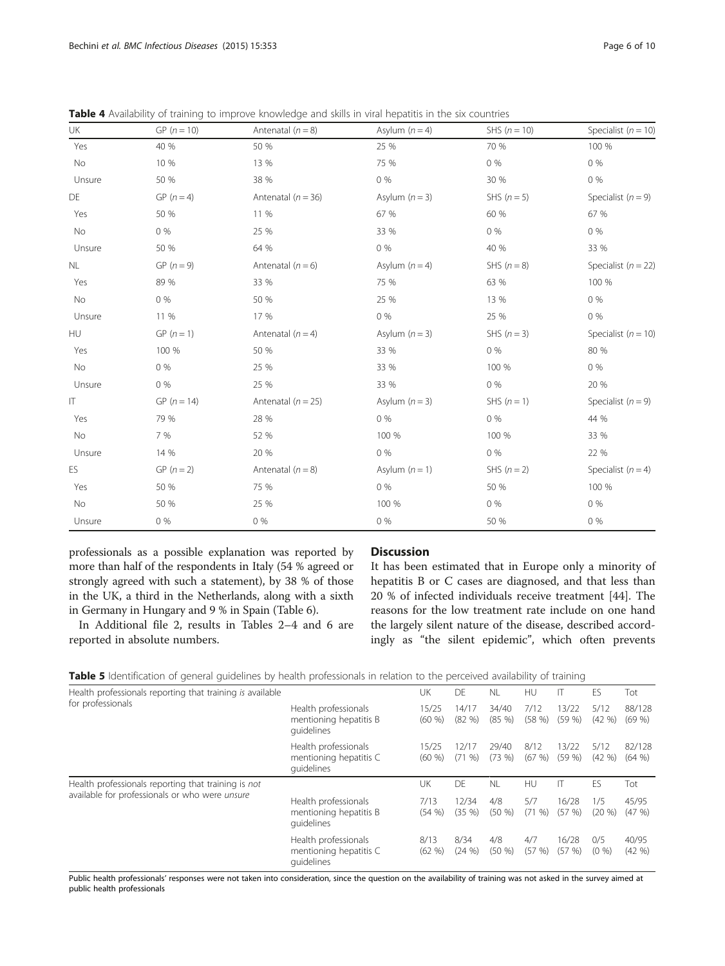| UK     | $GP (n = 10)$ | Antenatal $(n = 8)$    | Asylum $(n=4)$   | SHS $(n = 10)$ | Specialist ( $n = 10$ ) |
|--------|---------------|------------------------|------------------|----------------|-------------------------|
| Yes    | 40 %          | 50 %                   | 25 %             | 70 %           | 100 %                   |
| No     | 10 %          | 13 %                   | 75 %             | $0\%$          | $0\%$                   |
| Unsure | 50 %          | 38 %                   | $0\%$            | 30 %           | $0\%$                   |
| DE     | $GP (n = 4)$  | Antenatal ( $n = 36$ ) | Asylum $(n=3)$   | SHS $(n=5)$    | Specialist ( $n = 9$ )  |
| Yes    | 50 %          | 11 %                   | 67 %             | 60 %           | 67 %                    |
| No     | $0\%$         | 25 %                   | 33 %             | $0\%$          | $0\%$                   |
| Unsure | 50 %          | 64 %                   | $0\%$            | 40 %           | 33 %                    |
| NL     | $GP (n = 9)$  | Antenatal $(n = 6)$    | Asylum $(n=4)$   | SHS $(n=8)$    | Specialist ( $n = 22$ ) |
| Yes    | 89 %          | 33 %                   | 75 %             | 63 %           | 100 %                   |
| No     | $0\%$         | 50 %                   | 25 %             | 13 %           | $0\%$                   |
| Unsure | 11 %          | 17 %                   | $0\%$            | 25 %           | 0 %                     |
| HU     | $GP (n = 1)$  | Antenatal $(n = 4)$    | Asylum $(n=3)$   | SHS $(n=3)$    | Specialist ( $n = 10$ ) |
| Yes    | 100 %         | 50 %                   | 33 %             | $0\%$          | 80 %                    |
| No     | $0\%$         | 25 %                   | 33 %             | 100 %          | $0\%$                   |
| Unsure | $0\%$         | 25 %                   | 33 %             | $0\%$          | 20 %                    |
| IT.    | $GP (n = 14)$ | Antenatal ( $n = 25$ ) | Asylum $(n=3)$   | SHS $(n=1)$    | Specialist $(n = 9)$    |
| Yes    | 79 %          | 28 %                   | $0\%$            | $0\%$          | 44 %                    |
| No     | 7 %           | 52 %                   | 100 %            | 100 %          | 33 %                    |
| Unsure | 14 %          | 20 %                   | $0\%$            | $0\%$          | 22 %                    |
| ES     | $GP (n = 2)$  | Antenatal $(n = 8)$    | Asylum $(n = 1)$ | SHS $(n=2)$    | Specialist ( $n = 4$ )  |
| Yes    | 50 %          | 75 %                   | $0\%$            | 50 %           | 100 %                   |
| No     | 50 %          | 25 %                   | 100 %            | $0\%$          | $0\%$                   |
| Unsure | $0\%$         | $0\%$                  | $0\%$            | 50 %           | 0%                      |

<span id="page-5-0"></span>Table 4 Availability of training to improve knowledge and skills in viral hepatitis in the six countries

professionals as a possible explanation was reported by more than half of the respondents in Italy (54 % agreed or strongly agreed with such a statement), by 38 % of those in the UK, a third in the Netherlands, along with a sixth in Germany in Hungary and 9 % in Spain (Table [6\)](#page-6-0).

In Additional file [2,](#page-7-0) results in Tables 2–4 and 6 are reported in absolute numbers.

## **Discussion**

It has been estimated that in Europe only a minority of hepatitis B or C cases are diagnosed, and that less than 20 % of infected individuals receive treatment [[44](#page-9-0)]. The reasons for the low treatment rate include on one hand the largely silent nature of the disease, described accordingly as "the silent epidemic", which often prevents

| Health professionals reporting that training is available<br>for professionals                        |                                                              | UK               | DE                 | <b>NL</b>          | HU               | IT             | FS                | Tot                         |
|-------------------------------------------------------------------------------------------------------|--------------------------------------------------------------|------------------|--------------------|--------------------|------------------|----------------|-------------------|-----------------------------|
|                                                                                                       | Health professionals<br>mentioning hepatitis B<br>quidelines | 15/25<br>(60%    | 14/17<br>(82, 96)  | 34/40<br>$(85 \%)$ | 7/12<br>(58%)    | 13/22<br>(59%  | 5/12<br>$(42\% )$ | 88/128<br>(69%              |
|                                                                                                       | Health professionals<br>mentioning hepatitis C<br>quidelines | 15/25<br>(60%    | 2/17<br>(71, 96)   | 29/40<br>(73%)     | 8/12<br>(67%)    | 13/22<br>(59%  | 5/12<br>(42, 96)  | 82/128<br>(64, 96)          |
| Health professionals reporting that training is not<br>available for professionals or who were unsure |                                                              | UK               | DE                 | <b>NL</b>          | HU               |                | <b>FS</b>         | Tot                         |
|                                                                                                       | Health professionals<br>mentioning hepatitis B<br>quidelines | 7/13<br>(54%     | 12/34<br>$(35 \%)$ | 4/8<br>(50%        | 5/7<br>(71<br>%  | 16/28<br>(57%) | 1/5<br>(20, 96)   | 45/95<br>(47, 96)           |
|                                                                                                       | Health professionals<br>mentioning hepatitis C<br>quidelines | 8/13<br>(62, 96) | 8/34<br>(24%)      | 4/8<br>(50%        | 4/7<br>(57)<br>% | 16/28<br>(57%) | 0/5<br>(0, 96)    | 40/95<br>$(42 \frac{9}{6})$ |

Public health professionals' responses were not taken into consideration, since the question on the availability of training was not asked in the survey aimed at public health professionals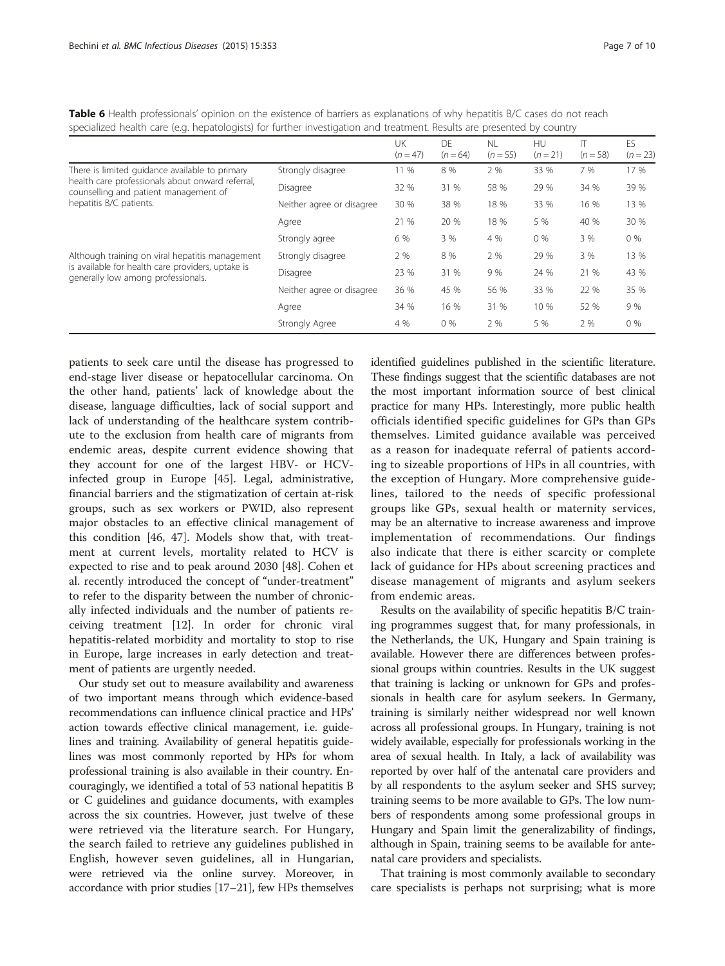<span id="page-6-0"></span>Table 6 Health professionals' opinion on the existence of barriers as explanations of why hepatitis B/C cases do not reach specialized health care (e.g. hepatologists) for further investigation and treatment. Results are presented by country

|                                                                                                                                             |                           | UK<br>$(n = 47)$ | DE<br>$(n = 64)$ | <b>NL</b><br>$(n = 55)$ | HU<br>$(n = 21)$                                                                                                         | IT<br>$(n = 58)$ | ES<br>$(n = 23)$ |
|---------------------------------------------------------------------------------------------------------------------------------------------|---------------------------|------------------|------------------|-------------------------|--------------------------------------------------------------------------------------------------------------------------|------------------|------------------|
| There is limited quidance available to primary<br>health care professionals about onward referral,<br>counselling and patient management of | Strongly disagree         | 11 %             | 8 %              | 2 %                     | 33 %                                                                                                                     | 7 %              | 17 %             |
|                                                                                                                                             | Disagree                  | 32 %             | 31 %             | 58 %                    | 29 %                                                                                                                     | 34 %             | 39 %             |
| hepatitis B/C patients.                                                                                                                     | Neither agree or disagree | 30 %             | 38 %             | 18 %                    | 33 %<br>16 %<br>5 %<br>40 %<br>$0\%$<br>3 %<br>29 %<br>3 %<br>24 %<br>21 %<br>33 %<br>22 %<br>10 %<br>52 %<br>5 %<br>2 % | 13 %             |                  |
|                                                                                                                                             | Agree                     | 21 %             | 20 %             | 18 %                    |                                                                                                                          |                  | 30 %             |
|                                                                                                                                             | Strongly agree            | 6 %              | 3 %              | 4 %                     |                                                                                                                          |                  | 0%               |
| Although training on viral hepatitis management<br>is available for health care providers, uptake is<br>generally low among professionals.  | Strongly disagree         | 2 %              | 8 %              | 2 %                     |                                                                                                                          |                  | 13 %             |
|                                                                                                                                             | <b>Disagree</b>           | 23 %             | 31 %             | 9 %                     |                                                                                                                          |                  | 43 %             |
|                                                                                                                                             | Neither agree or disagree | 36 %             | 45 %             | 56 %                    |                                                                                                                          |                  | 35 %             |
|                                                                                                                                             | Agree                     | 34 %             | 16 %             | 31 %                    |                                                                                                                          |                  | 9 %              |
|                                                                                                                                             | Strongly Agree            | 4 %              | $0\%$            | 2 %                     |                                                                                                                          |                  | $0\%$            |

patients to seek care until the disease has progressed to end-stage liver disease or hepatocellular carcinoma. On the other hand, patients' lack of knowledge about the disease, language difficulties, lack of social support and lack of understanding of the healthcare system contribute to the exclusion from health care of migrants from endemic areas, despite current evidence showing that they account for one of the largest HBV- or HCVinfected group in Europe [[45\]](#page-9-0). Legal, administrative, financial barriers and the stigmatization of certain at-risk groups, such as sex workers or PWID, also represent major obstacles to an effective clinical management of this condition [[46, 47\]](#page-9-0). Models show that, with treatment at current levels, mortality related to HCV is expected to rise and to peak around 2030 [[48\]](#page-9-0). Cohen et al. recently introduced the concept of "under-treatment" to refer to the disparity between the number of chronically infected individuals and the number of patients receiving treatment [\[12](#page-8-0)]. In order for chronic viral hepatitis-related morbidity and mortality to stop to rise in Europe, large increases in early detection and treatment of patients are urgently needed.

Our study set out to measure availability and awareness of two important means through which evidence-based recommendations can influence clinical practice and HPs' action towards effective clinical management, i.e. guidelines and training. Availability of general hepatitis guidelines was most commonly reported by HPs for whom professional training is also available in their country. Encouragingly, we identified a total of 53 national hepatitis B or C guidelines and guidance documents, with examples across the six countries. However, just twelve of these were retrieved via the literature search. For Hungary, the search failed to retrieve any guidelines published in English, however seven guidelines, all in Hungarian, were retrieved via the online survey. Moreover, in accordance with prior studies [\[17](#page-8-0)–[21\]](#page-8-0), few HPs themselves

identified guidelines published in the scientific literature. These findings suggest that the scientific databases are not the most important information source of best clinical practice for many HPs. Interestingly, more public health officials identified specific guidelines for GPs than GPs themselves. Limited guidance available was perceived as a reason for inadequate referral of patients according to sizeable proportions of HPs in all countries, with the exception of Hungary. More comprehensive guidelines, tailored to the needs of specific professional groups like GPs, sexual health or maternity services, may be an alternative to increase awareness and improve implementation of recommendations. Our findings also indicate that there is either scarcity or complete lack of guidance for HPs about screening practices and disease management of migrants and asylum seekers from endemic areas.

Results on the availability of specific hepatitis B/C training programmes suggest that, for many professionals, in the Netherlands, the UK, Hungary and Spain training is available. However there are differences between professional groups within countries. Results in the UK suggest that training is lacking or unknown for GPs and professionals in health care for asylum seekers. In Germany, training is similarly neither widespread nor well known across all professional groups. In Hungary, training is not widely available, especially for professionals working in the area of sexual health. In Italy, a lack of availability was reported by over half of the antenatal care providers and by all respondents to the asylum seeker and SHS survey; training seems to be more available to GPs. The low numbers of respondents among some professional groups in Hungary and Spain limit the generalizability of findings, although in Spain, training seems to be available for antenatal care providers and specialists.

That training is most commonly available to secondary care specialists is perhaps not surprising; what is more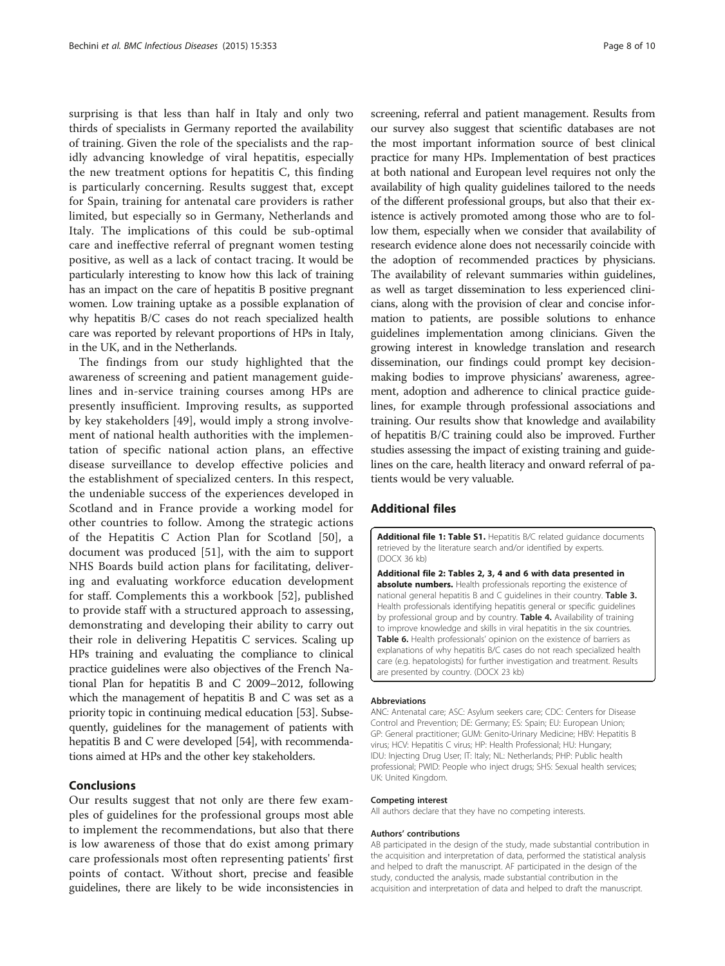<span id="page-7-0"></span>surprising is that less than half in Italy and only two thirds of specialists in Germany reported the availability of training. Given the role of the specialists and the rapidly advancing knowledge of viral hepatitis, especially the new treatment options for hepatitis C, this finding is particularly concerning. Results suggest that, except for Spain, training for antenatal care providers is rather limited, but especially so in Germany, Netherlands and Italy. The implications of this could be sub-optimal care and ineffective referral of pregnant women testing positive, as well as a lack of contact tracing. It would be particularly interesting to know how this lack of training has an impact on the care of hepatitis B positive pregnant women. Low training uptake as a possible explanation of why hepatitis B/C cases do not reach specialized health care was reported by relevant proportions of HPs in Italy, in the UK, and in the Netherlands.

The findings from our study highlighted that the awareness of screening and patient management guidelines and in-service training courses among HPs are presently insufficient. Improving results, as supported by key stakeholders [\[49](#page-9-0)], would imply a strong involvement of national health authorities with the implementation of specific national action plans, an effective disease surveillance to develop effective policies and the establishment of specialized centers. In this respect, the undeniable success of the experiences developed in Scotland and in France provide a working model for other countries to follow. Among the strategic actions of the Hepatitis C Action Plan for Scotland [[50\]](#page-9-0), a document was produced [\[51](#page-9-0)], with the aim to support NHS Boards build action plans for facilitating, delivering and evaluating workforce education development for staff. Complements this a workbook [\[52](#page-9-0)], published to provide staff with a structured approach to assessing, demonstrating and developing their ability to carry out their role in delivering Hepatitis C services. Scaling up HPs training and evaluating the compliance to clinical practice guidelines were also objectives of the French National Plan for hepatitis B and C 2009–2012, following which the management of hepatitis B and C was set as a priority topic in continuing medical education [\[53](#page-9-0)]. Subsequently, guidelines for the management of patients with hepatitis B and C were developed [[54](#page-9-0)], with recommendations aimed at HPs and the other key stakeholders.

## Conclusions

Our results suggest that not only are there few examples of guidelines for the professional groups most able to implement the recommendations, but also that there is low awareness of those that do exist among primary care professionals most often representing patients' first points of contact. Without short, precise and feasible guidelines, there are likely to be wide inconsistencies in

screening, referral and patient management. Results from our survey also suggest that scientific databases are not the most important information source of best clinical practice for many HPs. Implementation of best practices at both national and European level requires not only the availability of high quality guidelines tailored to the needs of the different professional groups, but also that their existence is actively promoted among those who are to follow them, especially when we consider that availability of research evidence alone does not necessarily coincide with the adoption of recommended practices by physicians. The availability of relevant summaries within guidelines, as well as target dissemination to less experienced clinicians, along with the provision of clear and concise information to patients, are possible solutions to enhance guidelines implementation among clinicians. Given the growing interest in knowledge translation and research dissemination, our findings could prompt key decisionmaking bodies to improve physicians' awareness, agreement, adoption and adherence to clinical practice guidelines, for example through professional associations and training. Our results show that knowledge and availability of hepatitis B/C training could also be improved. Further studies assessing the impact of existing training and guidelines on the care, health literacy and onward referral of patients would be very valuable.

## Additional files

[Additional file 1: Table S1.](http://www.biomedcentral.com/content/supplementary/s12879-015-1104-8-s1.docx) Hepatitis B/C related quidance documents retrieved by the literature search and/or identified by experts. (DOCX 36 kb)

[Additional file 2: Tables 2, 3, 4 and 6 with data presented in](http://www.biomedcentral.com/content/supplementary/s12879-015-1104-8-s2.docx) [absolute numbers.](http://www.biomedcentral.com/content/supplementary/s12879-015-1104-8-s2.docx) Health professionals reporting the existence of national general hepatitis B and C guidelines in their country. Table 3. Health professionals identifying hepatitis general or specific guidelines by professional group and by country. Table 4. Availability of training to improve knowledge and skills in viral hepatitis in the six countries. Table 6. Health professionals' opinion on the existence of barriers as explanations of why hepatitis B/C cases do not reach specialized health care (e.g. hepatologists) for further investigation and treatment. Results are presented by country. (DOCX 23 kb)

#### Abbreviations

ANC: Antenatal care; ASC: Asylum seekers care; CDC: Centers for Disease Control and Prevention; DE: Germany; ES: Spain; EU: European Union; GP: General practitioner; GUM: Genito-Urinary Medicine; HBV: Hepatitis B virus; HCV: Hepatitis C virus; HP: Health Professional; HU: Hungary; IDU: Injecting Drug User; IT: Italy; NL: Netherlands; PHP: Public health professional; PWID: People who inject drugs; SHS: Sexual health services; UK: United Kingdom.

#### Competing interest

All authors declare that they have no competing interests.

#### Authors' contributions

AB participated in the design of the study, made substantial contribution in the acquisition and interpretation of data, performed the statistical analysis and helped to draft the manuscript. AF participated in the design of the study, conducted the analysis, made substantial contribution in the acquisition and interpretation of data and helped to draft the manuscript.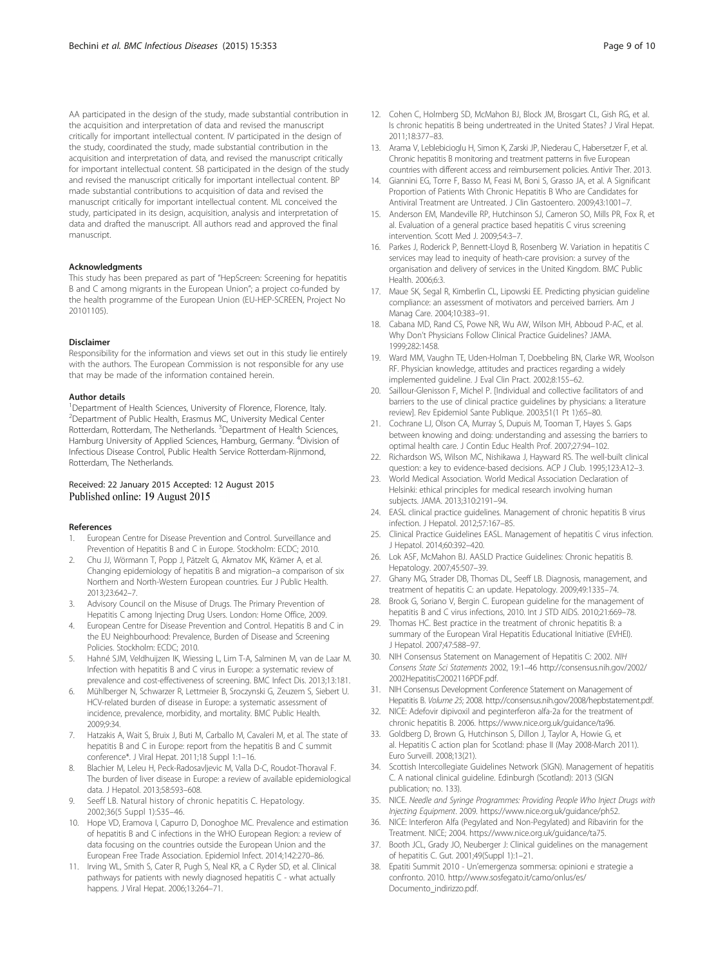<span id="page-8-0"></span>AA participated in the design of the study, made substantial contribution in the acquisition and interpretation of data and revised the manuscript critically for important intellectual content. IV participated in the design of the study, coordinated the study, made substantial contribution in the acquisition and interpretation of data, and revised the manuscript critically for important intellectual content. SB participated in the design of the study and revised the manuscript critically for important intellectual content. BP made substantial contributions to acquisition of data and revised the manuscript critically for important intellectual content. ML conceived the study, participated in its design, acquisition, analysis and interpretation of data and drafted the manuscript. All authors read and approved the final manuscript.

#### Acknowledgments

This study has been prepared as part of "HepScreen: Screening for hepatitis B and C among migrants in the European Union"; a project co-funded by the health programme of the European Union (EU-HEP-SCREEN, Project No 20101105).

#### Disclaimer

Responsibility for the information and views set out in this study lie entirely with the authors. The European Commission is not responsible for any use that may be made of the information contained herein.

#### Author details

<sup>1</sup>Department of Health Sciences, University of Florence, Florence, Italy. <sup>2</sup> Department of Public Health, Erasmus MC, University Medical Center Rotterdam, Rotterdam, The Netherlands. <sup>3</sup>Department of Health Sciences, Hamburg University of Applied Sciences, Hamburg, Germany. <sup>4</sup>Division of Infectious Disease Control, Public Health Service Rotterdam-Rijnmond, Rotterdam, The Netherlands.

#### Received: 22 January 2015 Accepted: 12 August 2015 Published online: 19 August 2015

#### References

- 1. European Centre for Disease Prevention and Control. Surveillance and Prevention of Hepatitis B and C in Europe. Stockholm: ECDC; 2010.
- 2. Chu JJ, Wörmann T, Popp J, Pätzelt G, Akmatov MK, Krämer A, et al. Changing epidemiology of hepatitis B and migration–a comparison of six Northern and North-Western European countries. Eur J Public Health. 2013;23:642–7.
- 3. Advisory Council on the Misuse of Drugs. The Primary Prevention of Hepatitis C among Injecting Drug Users. London: Home Office, 2009.
- 4. European Centre for Disease Prevention and Control. Hepatitis B and C in the EU Neighbourhood: Prevalence, Burden of Disease and Screening Policies. Stockholm: ECDC; 2010.
- 5. Hahné SJM, Veldhuijzen IK, Wiessing L, Lim T-A, Salminen M, van de Laar M. Infection with hepatitis B and C virus in Europe: a systematic review of prevalence and cost-effectiveness of screening. BMC Infect Dis. 2013;13:181.
- 6. Mühlberger N, Schwarzer R, Lettmeier B, Sroczynski G, Zeuzem S, Siebert U. HCV-related burden of disease in Europe: a systematic assessment of incidence, prevalence, morbidity, and mortality. BMC Public Health. 2009;9:34.
- 7. Hatzakis A, Wait S, Bruix J, Buti M, Carballo M, Cavaleri M, et al. The state of hepatitis B and C in Europe: report from the hepatitis B and C summit conference\*. J Viral Hepat. 2011;18 Suppl 1:1–16.
- 8. Blachier M, Leleu H, Peck-Radosavljevic M, Valla D-C, Roudot-Thoraval F. The burden of liver disease in Europe: a review of available epidemiological data. J Hepatol. 2013;58:593–608.
- 9. Seeff LB. Natural history of chronic hepatitis C. Hepatology. 2002;36(5 Suppl 1):S35–46.
- 10. Hope VD, Eramova I, Capurro D, Donoghoe MC. Prevalence and estimation of hepatitis B and C infections in the WHO European Region: a review of data focusing on the countries outside the European Union and the European Free Trade Association. Epidemiol Infect. 2014;142:270–86.
- 11. Irving WL, Smith S, Cater R, Pugh S, Neal KR, a C Ryder SD, et al. Clinical pathways for patients with newly diagnosed hepatitis C - what actually happens. J Viral Hepat. 2006;13:264–71.
- 12. Cohen C, Holmberg SD, McMahon BJ, Block JM, Brosgart CL, Gish RG, et al. Is chronic hepatitis B being undertreated in the United States? J Viral Hepat. 2011;18:377–83.
- 13. Arama V, Leblebicioglu H, Simon K, Zarski JP, Niederau C, Habersetzer F, et al. Chronic hepatitis B monitoring and treatment patterns in five European countries with different access and reimbursement policies. Antivir Ther. 2013.
- 14. Giannini EG, Torre F, Basso M, Feasi M, Boni S, Grasso JA, et al. A Significant Proportion of Patients With Chronic Hepatitis B Who are Candidates for Antiviral Treatment are Untreated. J Clin Gastoentero. 2009;43:1001–7.
- 15. Anderson EM, Mandeville RP, Hutchinson SJ, Cameron SO, Mills PR, Fox R, et al. Evaluation of a general practice based hepatitis C virus screening intervention. Scott Med J. 2009;54:3–7.
- 16. Parkes J, Roderick P, Bennett-Lloyd B, Rosenberg W. Variation in hepatitis C services may lead to inequity of heath-care provision: a survey of the organisation and delivery of services in the United Kingdom. BMC Public Health. 2006;6:3.
- 17. Maue SK, Segal R, Kimberlin CL, Lipowski EE. Predicting physician guideline compliance: an assessment of motivators and perceived barriers. Am J Manag Care. 2004;10:383–91.
- 18. Cabana MD, Rand CS, Powe NR, Wu AW, Wilson MH, Abboud P-AC, et al. Why Don't Physicians Follow Clinical Practice Guidelines? JAMA. 1999;282:1458.
- 19. Ward MM, Vaughn TE, Uden-Holman T, Doebbeling BN, Clarke WR, Woolson RF. Physician knowledge, attitudes and practices regarding a widely implemented guideline. J Eval Clin Pract. 2002;8:155–62.
- 20. Saillour-Glenisson F, Michel P. [Individual and collective facilitators of and barriers to the use of clinical practice guidelines by physicians: a literature review]. Rev Epidemiol Sante Publique. 2003;51(1 Pt 1):65–80.
- 21. Cochrane LJ, Olson CA, Murray S, Dupuis M, Tooman T, Hayes S. Gaps between knowing and doing: understanding and assessing the barriers to optimal health care. J Contin Educ Health Prof. 2007;27:94–102.
- 22. Richardson WS, Wilson MC, Nishikawa J, Hayward RS. The well-built clinical question: a key to evidence-based decisions. ACP J Club. 1995;123:A12–3.
- 23. World Medical Association. World Medical Association Declaration of Helsinki: ethical principles for medical research involving human subjects. JAMA. 2013;310:2191–94.
- 24. EASL clinical practice guidelines. Management of chronic hepatitis B virus infection. J Hepatol. 2012;57:167–85.
- 25. Clinical Practice Guidelines EASL. Management of hepatitis C virus infection. J Hepatol. 2014;60:392–420.
- 26. Lok ASF, McMahon BJ. AASLD Practice Guidelines: Chronic hepatitis B. Hepatology. 2007;45:507–39.
- 27. Ghany MG, Strader DB, Thomas DL, Seeff LB. Diagnosis, management, and treatment of hepatitis C: an update. Hepatology. 2009;49:1335–74.
- 28. Brook G, Soriano V, Bergin C. European guideline for the management of hepatitis B and C virus infections, 2010. Int J STD AIDS. 2010;21:669–78.
- 29. Thomas HC. Best practice in the treatment of chronic hepatitis B: a summary of the European Viral Hepatitis Educational Initiative (EVHEI). J Hepatol. 2007;47:588–97.
- 30. NIH Consensus Statement on Management of Hepatitis C: 2002. NIH Consens State Sci Statements 2002, 19:1–46 [http://consensus.nih.gov/2002/](http://consensus.nih.gov/2002/2002HepatitisC2002116PDF.pdf) [2002HepatitisC2002116PDF.pdf](http://consensus.nih.gov/2002/2002HepatitisC2002116PDF.pdf).
- 31. NIH Consensus Development Conference Statement on Management of Hepatitis B. Volume 25; 2008. [http://consensus.nih.gov/2008/hepbstatement.pdf.](http://consensus.nih.gov/2008/hepbstatement.pdf)
- 32. NICE: Adefovir dipivoxil and peginterferon alfa-2a for the treatment of chronic hepatitis B. 2006.<https://www.nice.org.uk/guidance/ta96>.
- 33. Goldberg D, Brown G, Hutchinson S, Dillon J, Taylor A, Howie G, et al. Hepatitis C action plan for Scotland: phase II (May 2008-March 2011). Euro Surveill. 2008;13(21).
- 34. Scottish Intercollegiate Guidelines Network (SIGN). Management of hepatitis C. A national clinical guideline. Edinburgh (Scotland): 2013 (SIGN publication; no. 133).
- 35. NICE. Needle and Syringe Programmes: Providing People Who Inject Drugs with Injecting Equipment. 2009.<https://www.nice.org.uk/guidance/ph52>.
- 36. NICE: Interferon Alfa (Pegylated and Non-Pegylated) and Ribavirin for the Treatment. NICE; 2004. [https://www.nice.org.uk/guidance/ta75.](https://www.nice.org.uk/guidance/ta75)
- 37. Booth JCL, Grady JO, Neuberger J: Clinical guidelines on the management of hepatitis C. Gut. 2001;49(Suppl 1):1–21.
- 38. Epatiti Summit 2010 Un'emergenza sommersa: opinioni e strategie a confronto. 2010. [http://www.sosfegato.it/camo/onlus/es/](http://www.sosfegato.it/camo/onlus/es/Documento_indirizzo.pdf) [Documento\\_indirizzo.pdf.](http://www.sosfegato.it/camo/onlus/es/Documento_indirizzo.pdf)